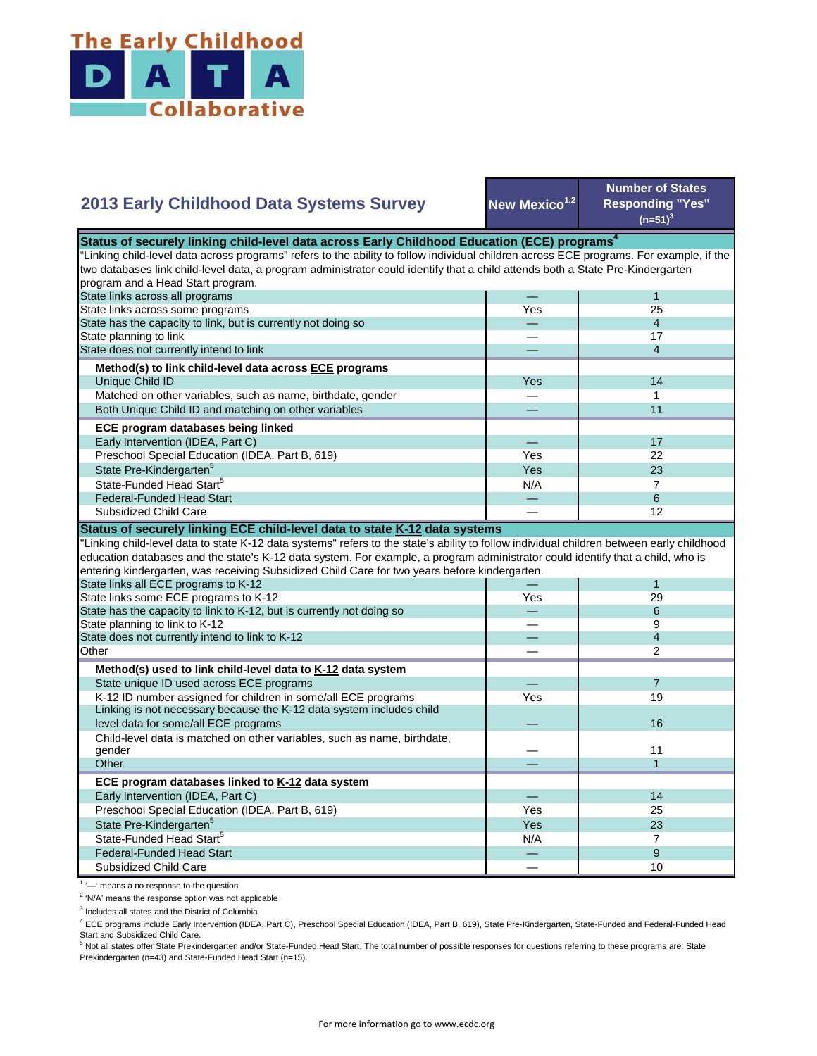

## **New Mexico<sup>1,2</sup> Number of States Responding "Yes"**   $(n=51)^{3}$ — 1 Yes 25 — 4 — 17 — 4 Yes **I** 14 — 1 — 11 — 17 Yes **I** 22  $Yes$  23  $N/A$  7 State Pre-Kindergarten<sup>5</sup> State-Funded Head Start<sup>5</sup> Matched on other variables, such as name, birthdate, gender Both Unique Child ID and matching on other variables  **ECE program databases being linked**  Early Intervention (IDEA, Part C) Preschool Special Education (IDEA, Part B, 619) State has the capacity to link, but is currently not doing so State planning to link State does not currently intend to link  **Method(s) to link child-level data across ECE programs** Unique Child ID **2013 Early Childhood Data Systems Survey** Status of securely linking child-level data across Early Childhood Education (ECE) programs<sup>4</sup> "Linking child-level data across programs" refers to the ability to follow individual children across ECE programs. For example, if the two databases link child-level data, a program administrator could identify that a child attends both a State Pre-Kindergarten program and a Head Start program. State links across all programs State links across some programs — 6 — 12 — 1 Yes 29 — 6 — 9 — 4 — 2 — 7 Yes 19  $\overline{\phantom{0}}$ — 11 — 1 — 14 Yes I 25 Yes 23  $N/A$  7 — 9  $-$  10 Preschool Special Education (IDEA, Part B, 619) State Pre-Kindergarten<sup>5</sup> State-Funded Head Start<sup>5</sup> Federal-Funded Head Start Subsidized Child Care Child-level data is matched on other variables, such as name, birthdate, gender **Other ECE program databases linked to K-12 data system** Early Intervention (IDEA, Part C) **Other Method(s) used to link child-level data to K-12 data system** State unique ID used across ECE programs K-12 ID number assigned for children in some/all ECE programs Linking is not necessary because the K-12 data system includes child level data for some/all ECE programs 16 and 200 minutes and 200 minutes of the control of the control of the control of the control of the control of the control of the control of the control of the control of the control "Linking child-level data to state K-12 data systems" refers to the state's ability to follow individual children between early childhood education databases and the state's K-12 data system. For example, a program administrator could identify that a child, who is entering kindergarten, was receiving Subsidized Child Care for two years before kindergarten. State links all ECE programs to K-12 State links some ECE programs to K-12 State has the capacity to link to K-12, but is currently not doing so State planning to link to K-12 State does not currently intend to link to K-12 Federal-Funded Head Start Subsidized Child Care **Status of securely linking ECE child-level data to state K-12 data systems**

<sup>1</sup> '-' means a no response to the question

<sup>2</sup> 'N/A' means the response option was not applicable

<sup>3</sup> Includes all states and the District of Columbia

<sup>4</sup> ECE programs include Early Intervention (IDEA, Part C), Preschool Special Education (IDEA, Part B, 619), State Pre-Kindergarten, State-Funded and Federal-Funded Head Start and Subsidized Child Care.

<sup>5</sup> Not all states offer State Prekindergarten and/or State-Funded Head Start. The total number of possible responses for questions referring to these programs are: State Prekindergarten (n=43) and State-Funded Head Start (n=15).